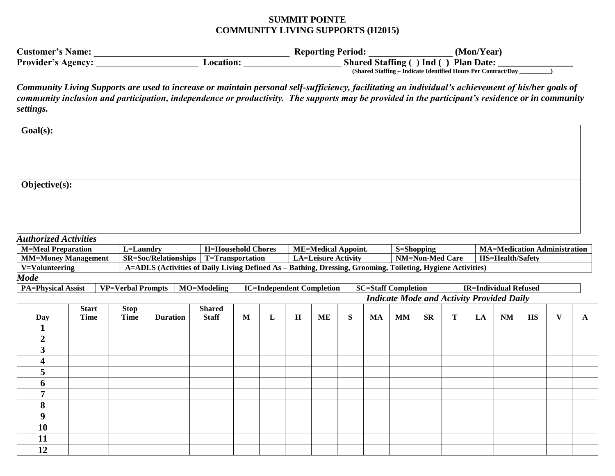## **SUMMIT POINTE COMMUNITY LIVING SUPPORTS (H2015)**

| <b>Customer's Name:</b>   |          | <b>Reporting Period:</b> | (Mon/Year)                                                    |
|---------------------------|----------|--------------------------|---------------------------------------------------------------|
| <b>Provider's Agency:</b> | Acation: |                          | Shared Staffing () Ind () Plan Date:                          |
|                           |          |                          | (Shared Staffing – Indicate Identified Hours Per Contract/Day |

*Community Living Supports are used to increase or maintain personal self-sufficiency, facilitating an individual's achievement of his/her goals of community inclusion and participation, independence or productivity. The supports may be provided in the participant's residence or in community settings.*

| $Goal(s)$ :                  |              |                          |                                                                                                             |                           |   |   |         |                                  |   |    |                            |                        |   |    |                                                                |    |              |                           |  |
|------------------------------|--------------|--------------------------|-------------------------------------------------------------------------------------------------------------|---------------------------|---|---|---------|----------------------------------|---|----|----------------------------|------------------------|---|----|----------------------------------------------------------------|----|--------------|---------------------------|--|
|                              |              |                          |                                                                                                             |                           |   |   |         |                                  |   |    |                            |                        |   |    |                                                                |    |              |                           |  |
| Objective(s):                |              |                          |                                                                                                             |                           |   |   |         |                                  |   |    |                            |                        |   |    |                                                                |    |              |                           |  |
|                              |              |                          |                                                                                                             |                           |   |   |         |                                  |   |    |                            |                        |   |    |                                                                |    |              |                           |  |
|                              |              |                          |                                                                                                             |                           |   |   |         |                                  |   |    |                            |                        |   |    |                                                                |    |              |                           |  |
| <b>Authorized Activities</b> |              |                          |                                                                                                             |                           |   |   |         |                                  |   |    |                            |                        |   |    |                                                                |    |              |                           |  |
| <b>M=Meal Preparation</b>    |              | L=Laundry                |                                                                                                             | <b>H=Household Chores</b> |   |   |         | <b>ME=Medical Appoint.</b>       |   |    |                            | <b>S=Shopping</b>      |   |    |                                                                |    |              |                           |  |
| <b>MM=Money Management</b>   |              |                          | <b>SR=Soc/Relationships</b>                                                                                 | T=Transportation          |   |   |         | <b>LA=Leisure Activity</b>       |   |    |                            | <b>NM=Non-Med Care</b> |   |    | <b>MA=Medication Administration</b><br><b>HS=Health/Safety</b> |    |              |                           |  |
| V=Volunteering               |              |                          | A=ADLS (Activities of Daily Living Defined As - Bathing, Dressing, Grooming, Toileting, Hygiene Activities) |                           |   |   |         |                                  |   |    |                            |                        |   |    |                                                                |    |              |                           |  |
| <b>Mode</b>                  |              |                          |                                                                                                             |                           |   |   |         |                                  |   |    |                            |                        |   |    |                                                                |    |              |                           |  |
| <b>PA=Physical Assist</b>    |              | <b>VP=Verbal Prompts</b> |                                                                                                             | MO=Modeling               |   |   |         | <b>IC=Independent Completion</b> |   |    | <b>SC=Staff Completion</b> |                        |   |    | <b>IR=Individual Refused</b>                                   |    |              |                           |  |
|                              |              |                          |                                                                                                             |                           |   |   |         |                                  |   |    |                            |                        |   |    | <b>Indicate Mode and Activity Provided Daily</b>               |    |              |                           |  |
|                              | <b>Start</b> | <b>Stop</b>              |                                                                                                             | <b>Shared</b>             |   |   |         |                                  |   |    |                            |                        |   |    |                                                                |    |              |                           |  |
| Day                          | <b>Time</b>  | <b>Time</b>              | <b>Duration</b>                                                                                             | <b>Staff</b>              | M | L | $\bf H$ | <b>ME</b>                        | S | MA | <b>MM</b>                  | ${\bf SR}$             | T | LA | <b>NM</b>                                                      | HS | $\mathbf{V}$ | $\boldsymbol{\mathsf{A}}$ |  |
| $\mathbf{1}$                 |              |                          |                                                                                                             |                           |   |   |         |                                  |   |    |                            |                        |   |    |                                                                |    |              |                           |  |
| $\overline{2}$               |              |                          |                                                                                                             |                           |   |   |         |                                  |   |    |                            |                        |   |    |                                                                |    |              |                           |  |
| $\overline{\mathbf{3}}$      |              |                          |                                                                                                             |                           |   |   |         |                                  |   |    |                            |                        |   |    |                                                                |    |              |                           |  |
| 4                            |              |                          |                                                                                                             |                           |   |   |         |                                  |   |    |                            |                        |   |    |                                                                |    |              |                           |  |
| 5                            |              |                          |                                                                                                             |                           |   |   |         |                                  |   |    |                            |                        |   |    |                                                                |    |              |                           |  |
| 6                            |              |                          |                                                                                                             |                           |   |   |         |                                  |   |    |                            |                        |   |    |                                                                |    |              |                           |  |
| $\overline{7}$               |              |                          |                                                                                                             |                           |   |   |         |                                  |   |    |                            |                        |   |    |                                                                |    |              |                           |  |
| 8                            |              |                          |                                                                                                             |                           |   |   |         |                                  |   |    |                            |                        |   |    |                                                                |    |              |                           |  |
| $\boldsymbol{9}$             |              |                          |                                                                                                             |                           |   |   |         |                                  |   |    |                            |                        |   |    |                                                                |    |              |                           |  |
| <b>10</b>                    |              |                          |                                                                                                             |                           |   |   |         |                                  |   |    |                            |                        |   |    |                                                                |    |              |                           |  |
| 11                           |              |                          |                                                                                                             |                           |   |   |         |                                  |   |    |                            |                        |   |    |                                                                |    |              |                           |  |
| 12                           |              |                          |                                                                                                             |                           |   |   |         |                                  |   |    |                            |                        |   |    |                                                                |    |              |                           |  |